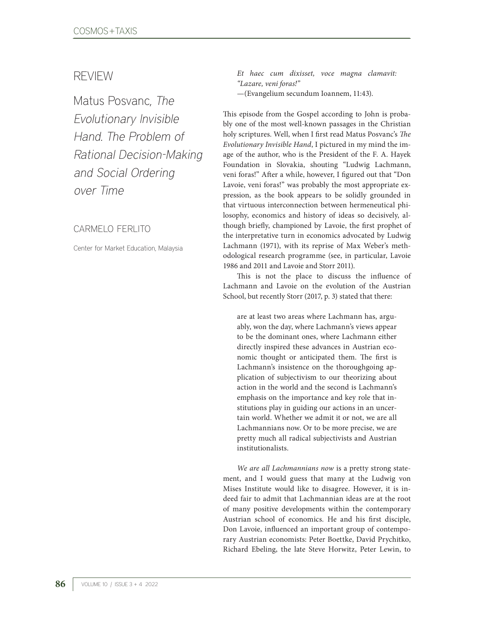## REVIEW

Matus Posvanc, The Evolutionary Invisible Hand. The Problem of Rational Decision-Making and Social Ordering over Time

## CARMELO FERLITO

Center for Market Education, Malaysia

*Et haec cum dixisset, voce magna clamavit: "Lazare, veni foras!"*  —(Evangelium secundum Ioannem, 11:43).

This episode from the Gospel according to John is probably one of the most well-known passages in the Christian holy scriptures. Well, when I first read Matus Posvanc's *The Evolutionary Invisible Hand*, I pictured in my mind the image of the author, who is the President of the F. A. Hayek Foundation in Slovakia, shouting "Ludwig Lachmann, veni foras!" After a while, however, I figured out that "Don Lavoie, veni foras!" was probably the most appropriate expression, as the book appears to be solidly grounded in that virtuous interconnection between hermeneutical philosophy, economics and history of ideas so decisively, although briefly, championed by Lavoie, the first prophet of the interpretative turn in economics advocated by Ludwig Lachmann (1971), with its reprise of Max Weber's methodological research programme (see, in particular, Lavoie 1986 and 2011 and Lavoie and Storr 2011).

This is not the place to discuss the influence of Lachmann and Lavoie on the evolution of the Austrian School, but recently Storr (2017, p. 3) stated that there:

are at least two areas where Lachmann has, arguably, won the day, where Lachmann's views appear to be the dominant ones, where Lachmann either directly inspired these advances in Austrian economic thought or anticipated them. The first is Lachmann's insistence on the thoroughgoing application of subjectivism to our theorizing about action in the world and the second is Lachmann's emphasis on the importance and key role that institutions play in guiding our actions in an uncertain world. Whether we admit it or not, we are all Lachmannians now. Or to be more precise, we are pretty much all radical subjectivists and Austrian institutionalists.

*We are all Lachmannians now* is a pretty strong statement, and I would guess that many at the Ludwig von Mises Institute would like to disagree. However, it is indeed fair to admit that Lachmannian ideas are at the root of many positive developments within the contemporary Austrian school of economics. He and his first disciple, Don Lavoie, influenced an important group of contemporary Austrian economists: Peter Boettke, David Prychitko, Richard Ebeling, the late Steve Horwitz, Peter Lewin, to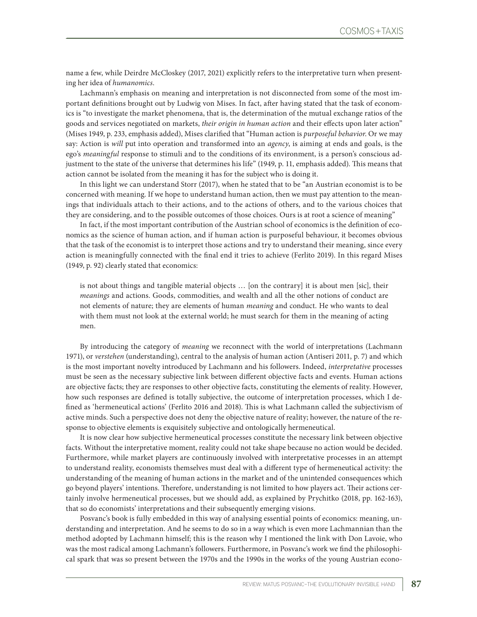name a few, while Deirdre McCloskey (2017, 2021) explicitly refers to the interpretative turn when presenting her idea of *humanomics*.

Lachmann's emphasis on meaning and interpretation is not disconnected from some of the most important definitions brought out by Ludwig von Mises. In fact, after having stated that the task of economics is "to investigate the market phenomena, that is, the determination of the mutual exchange ratios of the goods and services negotiated on markets, *their origin in human action* and their effects upon later action" (Mises 1949, p. 233, emphasis added), Mises clarified that "Human action is *purposeful behavior*. Or we may say: Action is *will* put into operation and transformed into an *agency*, is aiming at ends and goals, is the ego's *meaningful* response to stimuli and to the conditions of its environment, is a person's conscious adjustment to the state of the universe that determines his life" (1949, p. 11, emphasis added). This means that action cannot be isolated from the meaning it has for the subject who is doing it.

In this light we can understand Storr (2017), when he stated that to be "an Austrian economist is to be concerned with meaning. If we hope to understand human action, then we must pay attention to the meanings that individuals attach to their actions, and to the actions of others, and to the various choices that they are considering, and to the possible outcomes of those choices. Ours is at root a science of meaning"

In fact, if the most important contribution of the Austrian school of economics is the definition of economics as the science of human action, and if human action is purposeful behaviour, it becomes obvious that the task of the economist is to interpret those actions and try to understand their meaning, since every action is meaningfully connected with the final end it tries to achieve (Ferlito 2019). In this regard Mises (1949, p. 92) clearly stated that economics:

is not about things and tangible material objects … [on the contrary] it is about men [sic], their *meanings* and actions. Goods, commodities, and wealth and all the other notions of conduct are not elements of nature; they are elements of human *meaning* and conduct. He who wants to deal with them must not look at the external world; he must search for them in the meaning of acting men.

By introducing the category of *meaning* we reconnect with the world of interpretations (Lachmann 1971), or *verstehen* (understanding), central to the analysis of human action (Antiseri 2011, p. 7) and which is the most important novelty introduced by Lachmann and his followers. Indeed, *interpretative* processes must be seen as the necessary subjective link between different objective facts and events. Human actions are objective facts; they are responses to other objective facts, constituting the elements of reality. However, how such responses are defined is totally subjective, the outcome of interpretation processes, which I defined as 'hermeneutical actions' (Ferlito 2016 and 2018). This is what Lachmann called the subjectivism of active minds. Such a perspective does not deny the objective nature of reality; however, the nature of the response to objective elements is exquisitely subjective and ontologically hermeneutical.

It is now clear how subjective hermeneutical processes constitute the necessary link between objective facts. Without the interpretative moment, reality could not take shape because no action would be decided. Furthermore, while market players are continuously involved with interpretative processes in an attempt to understand reality, economists themselves must deal with a different type of hermeneutical activity: the understanding of the meaning of human actions in the market and of the unintended consequences which go beyond players' intentions. Therefore, understanding is not limited to how players act. Their actions certainly involve hermeneutical processes, but we should add, as explained by Prychitko (2018, pp. 162-163), that so do economists' interpretations and their subsequently emerging visions.

Posvanc's book is fully embedded in this way of analysing essential points of economics: meaning, understanding and interpretation. And he seems to do so in a way which is even more Lachmannian than the method adopted by Lachmann himself; this is the reason why I mentioned the link with Don Lavoie, who was the most radical among Lachmann's followers. Furthermore, in Posvanc's work we find the philosophical spark that was so present between the 1970s and the 1990s in the works of the young Austrian econo-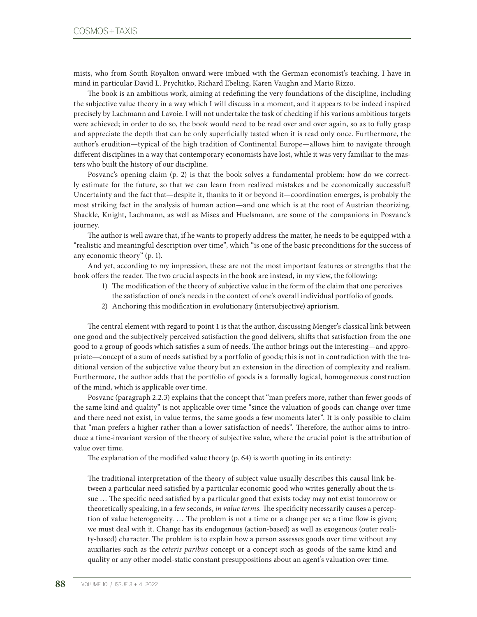mists, who from South Royalton onward were imbued with the German economist's teaching. I have in mind in particular David L. Prychitko, Richard Ebeling, Karen Vaughn and Mario Rizzo.

The book is an ambitious work, aiming at redefining the very foundations of the discipline, including the subjective value theory in a way which I will discuss in a moment, and it appears to be indeed inspired precisely by Lachmann and Lavoie. I will not undertake the task of checking if his various ambitious targets were achieved; in order to do so, the book would need to be read over and over again, so as to fully grasp and appreciate the depth that can be only superficially tasted when it is read only once. Furthermore, the author's erudition—typical of the high tradition of Continental Europe—allows him to navigate through different disciplines in a way that contemporary economists have lost, while it was very familiar to the masters who built the history of our discipline.

Posvanc's opening claim (p. 2) is that the book solves a fundamental problem: how do we correctly estimate for the future, so that we can learn from realized mistakes and be economically successful? Uncertainty and the fact that—despite it, thanks to it or beyond it—coordination emerges, is probably the most striking fact in the analysis of human action—and one which is at the root of Austrian theorizing. Shackle, Knight, Lachmann, as well as Mises and Huelsmann, are some of the companions in Posvanc's journey.

The author is well aware that, if he wants to properly address the matter, he needs to be equipped with a "realistic and meaningful description over time", which "is one of the basic preconditions for the success of any economic theory" (p. 1).

And yet, according to my impression, these are not the most important features or strengths that the book offers the reader. The two crucial aspects in the book are instead, in my view, the following:

- 1) The modification of the theory of subjective value in the form of the claim that one perceives
- the satisfaction of one's needs in the context of one's overall individual portfolio of goods.
- 2) Anchoring this modification in evolutionary (intersubjective) apriorism.

The central element with regard to point 1 is that the author, discussing Menger's classical link between one good and the subjectively perceived satisfaction the good delivers, shifts that satisfaction from the one good to a group of goods which satisfies a sum of needs. The author brings out the interesting—and appropriate—concept of a sum of needs satisfied by a portfolio of goods; this is not in contradiction with the traditional version of the subjective value theory but an extension in the direction of complexity and realism. Furthermore, the author adds that the portfolio of goods is a formally logical, homogeneous construction of the mind, which is applicable over time.

Posvanc (paragraph 2.2.3) explains that the concept that "man prefers more, rather than fewer goods of the same kind and quality" is not applicable over time "since the valuation of goods can change over time and there need not exist, in value terms, the same goods a few moments later". It is only possible to claim that "man prefers a higher rather than a lower satisfaction of needs". Therefore, the author aims to introduce a time-invariant version of the theory of subjective value, where the crucial point is the attribution of value over time.

The explanation of the modified value theory (p. 64) is worth quoting in its entirety:

The traditional interpretation of the theory of subject value usually describes this causal link between a particular need satisfied by a particular economic good who writes generally about the issue … The specific need satisfied by a particular good that exists today may not exist tomorrow or theoretically speaking, in a few seconds, *in value terms*. The specificity necessarily causes a perception of value heterogeneity. … The problem is not a time or a change per se; a time flow is given; we must deal with it. Change has its endogenous (action-based) as well as exogenous (outer reality-based) character. The problem is to explain how a person assesses goods over time without any auxiliaries such as the *ceteris paribus* concept or a concept such as goods of the same kind and quality or any other model-static constant presuppositions about an agent's valuation over time.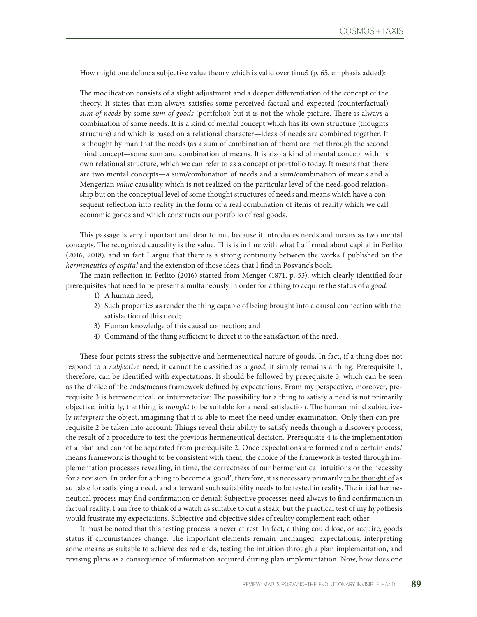How might one define a subjective value theory which is valid over time? (p. 65, emphasis added):

The modification consists of a slight adjustment and a deeper differentiation of the concept of the theory. It states that man always satisfies some perceived factual and expected (counterfactual) *sum of needs* by some *sum of goods* (portfolio); but it is not the whole picture. There is always a combination of some needs. It is a kind of mental concept which has its own structure (thoughts structure) and which is based on a relational character—ideas of needs are combined together. It is thought by man that the needs (as a sum of combination of them) are met through the second mind concept—some sum and combination of means. It is also a kind of mental concept with its own relational structure, which we can refer to as a concept of portfolio today. It means that there are two mental concepts—a sum/combination of needs and a sum/combination of means and a Mengerian *value* causality which is not realized on the particular level of the need-good relationship but on the conceptual level of some thought structures of needs and means which have a consequent reflection into reality in the form of a real combination of items of reality which we call economic goods and which constructs our portfolio of real goods.

This passage is very important and dear to me, because it introduces needs and means as two mental concepts. The recognized causality is the value. This is in line with what I affirmed about capital in Ferlito (2016, 2018), and in fact I argue that there is a strong continuity between the works I published on the *hermeneutics of capital* and the extension of those ideas that I find in Posvanc's book.

The main reflection in Ferlito (2016) started from Menger (1871, p. 53), which clearly identified four prerequisites that need to be present simultaneously in order for a thing to acquire the status of a *good*:

- 1) A human need;
- 2) Such properties as render the thing capable of being brought into a causal connection with the satisfaction of this need;
- 3) Human knowledge of this causal connection; and
- 4) Command of the thing sufficient to direct it to the satisfaction of the need.

These four points stress the subjective and hermeneutical nature of goods. In fact, if a thing does not respond to a *subjective* need, it cannot be classified as a *good*; it simply remains a thing. Prerequisite 1, therefore, can be identified with expectations. It should be followed by prerequisite 3, which can be seen as the choice of the ends/means framework defined by expectations. From my perspective, moreover, prerequisite 3 is hermeneutical, or interpretative: The possibility for a thing to satisfy a need is not primarily objective; initially, the thing is *thought* to be suitable for a need satisfaction. The human mind subjectively *interprets* the object, imagining that it is able to meet the need under examination. Only then can prerequisite 2 be taken into account: Things reveal their ability to satisfy needs through a discovery process, the result of a procedure to test the previous hermeneutical decision. Prerequisite 4 is the implementation of a plan and cannot be separated from prerequisite 2. Once expectations are formed and a certain ends/ means framework is thought to be consistent with them, the choice of the framework is tested through implementation processes revealing, in time, the correctness of our hermeneutical intuitions or the necessity for a revision. In order for a thing to become a 'good', therefore, it is necessary primarily to be thought of as suitable for satisfying a need, and afterward such suitability needs to be tested in reality. The initial hermeneutical process may find confirmation or denial: Subjective processes need always to find confirmation in factual reality. I am free to think of a watch as suitable to cut a steak, but the practical test of my hypothesis would frustrate my expectations. Subjective and objective sides of reality complement each other.

It must be noted that this testing process is never at rest. In fact, a thing could lose, or acquire, goods status if circumstances change. The important elements remain unchanged: expectations, interpreting some means as suitable to achieve desired ends, testing the intuition through a plan implementation, and revising plans as a consequence of information acquired during plan implementation. Now, how does one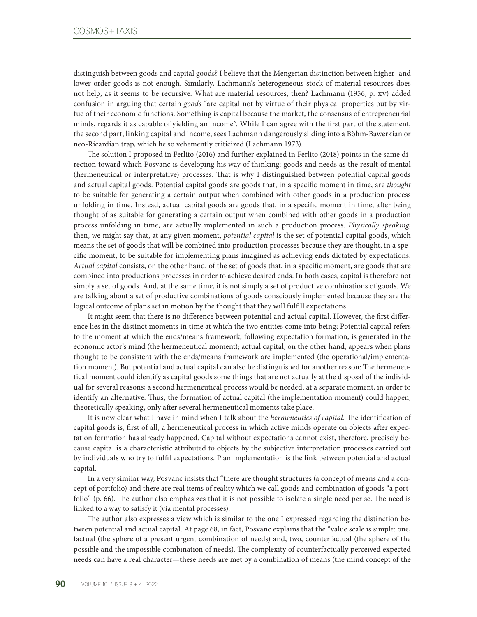distinguish between goods and capital goods? I believe that the Mengerian distinction between higher- and lower-order goods is not enough. Similarly, Lachmann's heterogeneous stock of material resources does not help, as it seems to be recursive. What are material resources, then? Lachmann (1956, p. xv) added confusion in arguing that certain *goods* "are capital not by virtue of their physical properties but by virtue of their economic functions. Something is capital because the market, the consensus of entrepreneurial minds, regards it as capable of yielding an income". While I can agree with the first part of the statement, the second part, linking capital and income, sees Lachmann dangerously sliding into a Böhm-Bawerkian or neo-Ricardian trap, which he so vehemently criticized (Lachmann 1973).

The solution I proposed in Ferlito (2016) and further explained in Ferlito (2018) points in the same direction toward which Posvanc is developing his way of thinking: goods and needs as the result of mental (hermeneutical or interpretative) processes. That is why I distinguished between potential capital goods and actual capital goods. Potential capital goods are goods that, in a specific moment in time, are *thought* to be suitable for generating a certain output when combined with other goods in a production process unfolding in time. Instead, actual capital goods are goods that, in a specific moment in time, after being thought of as suitable for generating a certain output when combined with other goods in a production process unfolding in time, are actually implemented in such a production process. *Physically speaking*, then, we might say that, at any given moment, *potential capital* is the set of potential capital goods, which means the set of goods that will be combined into production processes because they are thought, in a specific moment, to be suitable for implementing plans imagined as achieving ends dictated by expectations. *Actual capital* consists, on the other hand, of the set of goods that, in a specific moment, are goods that are combined into productions processes in order to achieve desired ends. In both cases, capital is therefore not simply a set of goods. And, at the same time, it is not simply a set of productive combinations of goods. We are talking about a set of productive combinations of goods consciously implemented because they are the logical outcome of plans set in motion by the thought that they will fulfill expectations.

It might seem that there is no difference between potential and actual capital. However, the first difference lies in the distinct moments in time at which the two entities come into being; Potential capital refers to the moment at which the ends/means framework, following expectation formation, is generated in the economic actor's mind (the hermeneutical moment); actual capital, on the other hand, appears when plans thought to be consistent with the ends/means framework are implemented (the operational/implementation moment). But potential and actual capital can also be distinguished for another reason: The hermeneutical moment could identify as capital goods some things that are not actually at the disposal of the individual for several reasons; a second hermeneutical process would be needed, at a separate moment, in order to identify an alternative. Thus, the formation of actual capital (the implementation moment) could happen, theoretically speaking, only after several hermeneutical moments take place.

It is now clear what I have in mind when I talk about the *hermeneutics of capital*. The identification of capital goods is, first of all, a hermeneutical process in which active minds operate on objects after expectation formation has already happened. Capital without expectations cannot exist, therefore, precisely because capital is a characteristic attributed to objects by the subjective interpretation processes carried out by individuals who try to fulfil expectations. Plan implementation is the link between potential and actual capital.

In a very similar way, Posvanc insists that "there are thought structures (a concept of means and a concept of portfolio) and there are real items of reality which we call goods and combination of goods "a portfolio" (p. 66). The author also emphasizes that it is not possible to isolate a single need per se. The need is linked to a way to satisfy it (via mental processes).

The author also expresses a view which is similar to the one I expressed regarding the distinction between potential and actual capital. At page 68, in fact, Posvanc explains that the "value scale is simple: one, factual (the sphere of a present urgent combination of needs) and, two, counterfactual (the sphere of the possible and the impossible combination of needs). The complexity of counterfactually perceived expected needs can have a real character—these needs are met by a combination of means (the mind concept of the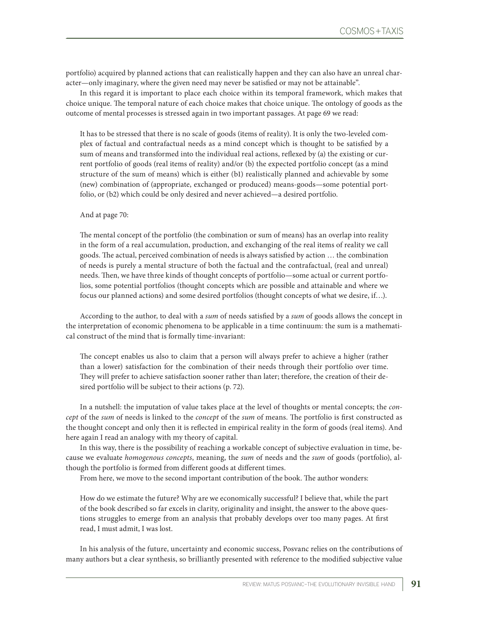portfolio) acquired by planned actions that can realistically happen and they can also have an unreal character—only imaginary, where the given need may never be satisfied or may not be attainable".

In this regard it is important to place each choice within its temporal framework, which makes that choice unique. The temporal nature of each choice makes that choice unique. The ontology of goods as the outcome of mental processes is stressed again in two important passages. At page 69 we read:

It has to be stressed that there is no scale of goods (items of reality). It is only the two-leveled complex of factual and contrafactual needs as a mind concept which is thought to be satisfied by a sum of means and transformed into the individual real actions, reflexed by (a) the existing or current portfolio of goods (real items of reality) and/or (b) the expected portfolio concept (as a mind structure of the sum of means) which is either (b1) realistically planned and achievable by some (new) combination of (appropriate, exchanged or produced) means-goods—some potential portfolio, or (b2) which could be only desired and never achieved—a desired portfolio.

## And at page 70:

The mental concept of the portfolio (the combination or sum of means) has an overlap into reality in the form of a real accumulation, production, and exchanging of the real items of reality we call goods. The actual, perceived combination of needs is always satisfied by action … the combination of needs is purely a mental structure of both the factual and the contrafactual, (real and unreal) needs. Then, we have three kinds of thought concepts of portfolio—some actual or current portfolios, some potential portfolios (thought concepts which are possible and attainable and where we focus our planned actions) and some desired portfolios (thought concepts of what we desire, if…).

According to the author, to deal with a *sum* of needs satisfied by a *sum* of goods allows the concept in the interpretation of economic phenomena to be applicable in a time continuum: the sum is a mathematical construct of the mind that is formally time-invariant:

The concept enables us also to claim that a person will always prefer to achieve a higher (rather than a lower) satisfaction for the combination of their needs through their portfolio over time. They will prefer to achieve satisfaction sooner rather than later; therefore, the creation of their desired portfolio will be subject to their actions (p. 72).

In a nutshell: the imputation of value takes place at the level of thoughts or mental concepts; the *concept* of the *sum* of needs is linked to the *concept* of the *sum* of means. The portfolio is first constructed as the thought concept and only then it is reflected in empirical reality in the form of goods (real items). And here again I read an analogy with my theory of capital.

In this way, there is the possibility of reaching a workable concept of subjective evaluation in time, because we evaluate *homogenous concepts*, meaning, the *sum* of needs and the *sum* of goods (portfolio), although the portfolio is formed from different goods at different times.

From here, we move to the second important contribution of the book. The author wonders:

How do we estimate the future? Why are we economically successful? I believe that, while the part of the book described so far excels in clarity, originality and insight, the answer to the above questions struggles to emerge from an analysis that probably develops over too many pages. At first read, I must admit, I was lost.

In his analysis of the future, uncertainty and economic success, Posvanc relies on the contributions of many authors but a clear synthesis, so brilliantly presented with reference to the modified subjective value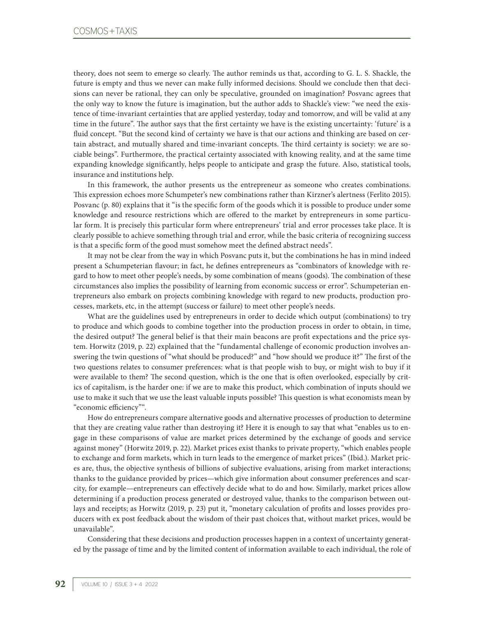theory, does not seem to emerge so clearly. The author reminds us that, according to G. L. S. Shackle, the future is empty and thus we never can make fully informed decisions. Should we conclude then that decisions can never be rational, they can only be speculative, grounded on imagination? Posvanc agrees that the only way to know the future is imagination, but the author adds to Shackle's view: "we need the existence of time-invariant certainties that are applied yesterday, today and tomorrow, and will be valid at any time in the future". The author says that the first certainty we have is the existing uncertainty: 'future' is a fluid concept. "But the second kind of certainty we have is that our actions and thinking are based on certain abstract, and mutually shared and time-invariant concepts. The third certainty is society: we are sociable beings". Furthermore, the practical certainty associated with knowing reality, and at the same time expanding knowledge significantly, helps people to anticipate and grasp the future. Also, statistical tools, insurance and institutions help.

In this framework, the author presents us the entrepreneur as someone who creates combinations. This expression echoes more Schumpeter's new combinations rather than Kirzner's alertness (Ferlito 2015). Posvanc (p. 80) explains that it "is the specific form of the goods which it is possible to produce under some knowledge and resource restrictions which are offered to the market by entrepreneurs in some particular form. It is precisely this particular form where entrepreneurs' trial and error processes take place. It is clearly possible to achieve something through trial and error, while the basic criteria of recognizing success is that a specific form of the good must somehow meet the defined abstract needs".

It may not be clear from the way in which Posvanc puts it, but the combinations he has in mind indeed present a Schumpeterian flavour; in fact, he defines entrepreneurs as "combinators of knowledge with regard to how to meet other people's needs, by some combination of means (goods). The combination of these circumstances also implies the possibility of learning from economic success or error". Schumpeterian entrepreneurs also embark on projects combining knowledge with regard to new products, production processes, markets, etc, in the attempt (success or failure) to meet other people's needs.

What are the guidelines used by entrepreneurs in order to decide which output (combinations) to try to produce and which goods to combine together into the production process in order to obtain, in time, the desired output? The general belief is that their main beacons are profit expectations and the price system. Horwitz (2019, p. 22) explained that the "fundamental challenge of economic production involves answering the twin questions of "what should be produced?" and "how should we produce it?" The first of the two questions relates to consumer preferences: what is that people wish to buy, or might wish to buy if it were available to them? The second question, which is the one that is often overlooked, especially by critics of capitalism, is the harder one: if we are to make this product, which combination of inputs should we use to make it such that we use the least valuable inputs possible? This question is what economists mean by "economic efficiency"".

How do entrepreneurs compare alternative goods and alternative processes of production to determine that they are creating value rather than destroying it? Here it is enough to say that what "enables us to engage in these comparisons of value are market prices determined by the exchange of goods and service against money" (Horwitz 2019, p. 22). Market prices exist thanks to private property, "which enables people to exchange and form markets, which in turn leads to the emergence of market prices" (Ibid.). Market prices are, thus, the objective synthesis of billions of subjective evaluations, arising from market interactions; thanks to the guidance provided by prices—which give information about consumer preferences and scarcity, for example—entrepreneurs can effectively decide what to do and how. Similarly, market prices allow determining if a production process generated or destroyed value, thanks to the comparison between outlays and receipts; as Horwitz (2019, p. 23) put it, "monetary calculation of profits and losses provides producers with ex post feedback about the wisdom of their past choices that, without market prices, would be unavailable".

Considering that these decisions and production processes happen in a context of uncertainty generated by the passage of time and by the limited content of information available to each individual, the role of